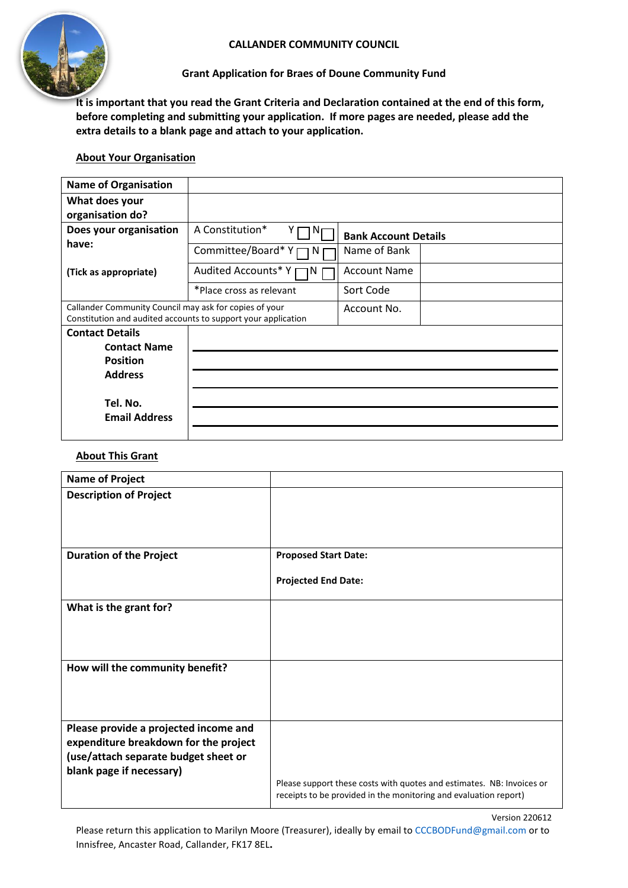



# **Grant Application for Braes of Doune Community Fund**

**It is important that you read the Grant Criteria and Declaration contained at the end of this form, before completing and submitting your application. If more pages are needed, please add the extra details to a blank page and attach to your application.**

# **About Your Organisation**

| <b>Name of Organisation</b>                                                                                             |                           |                             |
|-------------------------------------------------------------------------------------------------------------------------|---------------------------|-----------------------------|
| What does your<br>organisation do?                                                                                      |                           |                             |
| Does your organisation                                                                                                  | A Constitution*<br>N      | <b>Bank Account Details</b> |
| have:<br>(Tick as appropriate)                                                                                          | Committee/Board*Y<br>N    | Name of Bank                |
|                                                                                                                         | Audited Accounts* Y<br>ıN | <b>Account Name</b>         |
|                                                                                                                         | *Place cross as relevant  | Sort Code                   |
| Callander Community Council may ask for copies of your<br>Constitution and audited accounts to support your application |                           | Account No.                 |
| <b>Contact Details</b><br><b>Contact Name</b><br><b>Position</b>                                                        |                           |                             |
| <b>Address</b>                                                                                                          |                           |                             |
| Tel. No.<br><b>Email Address</b>                                                                                        |                           |                             |

## **About This Grant**

| <b>Name of Project</b>                                                                                                                             |                                                                                                                                           |
|----------------------------------------------------------------------------------------------------------------------------------------------------|-------------------------------------------------------------------------------------------------------------------------------------------|
| <b>Description of Project</b>                                                                                                                      |                                                                                                                                           |
| <b>Duration of the Project</b>                                                                                                                     | <b>Proposed Start Date:</b>                                                                                                               |
|                                                                                                                                                    | <b>Projected End Date:</b>                                                                                                                |
| What is the grant for?                                                                                                                             |                                                                                                                                           |
| How will the community benefit?                                                                                                                    |                                                                                                                                           |
| Please provide a projected income and<br>expenditure breakdown for the project<br>(use/attach separate budget sheet or<br>blank page if necessary) | Please support these costs with quotes and estimates. NB: Invoices or<br>receipts to be provided in the monitoring and evaluation report) |

Version 220612

Please return this application to Marilyn Moore (Treasurer), ideally by email to CCCBODFund@gmail.com or to Innisfree, Ancaster Road, Callander, FK17 8EL**.**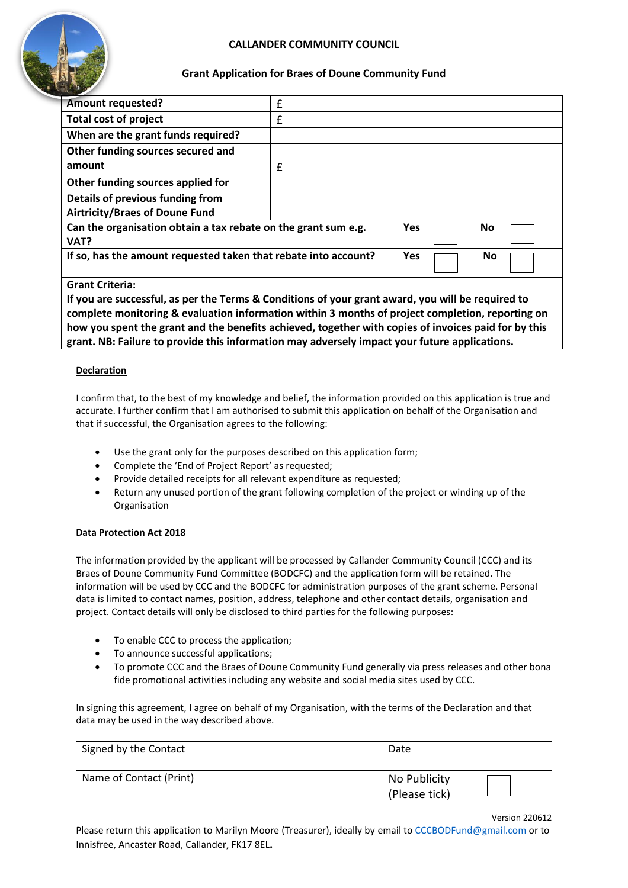# **CALLANDER COMMUNITY COUNCIL**



## **Grant Application for Braes of Doune Community Fund**

| <b>Amount requested?</b>                                        | £ |                  |
|-----------------------------------------------------------------|---|------------------|
| <b>Total cost of project</b>                                    | £ |                  |
| When are the grant funds required?                              |   |                  |
| Other funding sources secured and                               |   |                  |
| amount                                                          | £ |                  |
| Other funding sources applied for                               |   |                  |
| Details of previous funding from                                |   |                  |
| <b>Airtricity/Braes of Doune Fund</b>                           |   |                  |
| Can the organisation obtain a tax rebate on the grant sum e.g.  |   | <b>Yes</b><br>No |
| VAT?                                                            |   |                  |
| If so, has the amount requested taken that rebate into account? |   | Yes<br>No        |
| Concept Collection                                              |   |                  |

**Grant Criteria:** 

**If you are successful, as per the Terms & Conditions of your grant award, you will be required to complete monitoring & evaluation information within 3 months of project completion, reporting on how you spent the grant and the benefits achieved, together with copies of invoices paid for by this grant. NB: Failure to provide this information may adversely impact your future applications.**

#### **Declaration**

I confirm that, to the best of my knowledge and belief, the information provided on this application is true and accurate. I further confirm that I am authorised to submit this application on behalf of the Organisation and that if successful, the Organisation agrees to the following:

- Use the grant only for the purposes described on this application form;
- Complete the 'End of Project Report' as requested;
- Provide detailed receipts for all relevant expenditure as requested;
- Return any unused portion of the grant following completion of the project or winding up of the Organisation

#### **Data Protection Act 2018**

The information provided by the applicant will be processed by Callander Community Council (CCC) and its Braes of Doune Community Fund Committee (BODCFC) and the application form will be retained. The information will be used by CCC and the BODCFC for administration purposes of the grant scheme. Personal data is limited to contact names, position, address, telephone and other contact details, organisation and project. Contact details will only be disclosed to third parties for the following purposes:

- To enable CCC to process the application;
- To announce successful applications;
- To promote CCC and the Braes of Doune Community Fund generally via press releases and other bona fide promotional activities including any website and social media sites used by CCC.

In signing this agreement, I agree on behalf of my Organisation, with the terms of the Declaration and that data may be used in the way described above.

| Signed by the Contact   | Date                          |
|-------------------------|-------------------------------|
| Name of Contact (Print) | No Publicity<br>(Please tick) |

Version 220612

Please return this application to Marilyn Moore (Treasurer), ideally by email to CCCBODFund@gmail.com or to Innisfree, Ancaster Road, Callander, FK17 8EL**.**